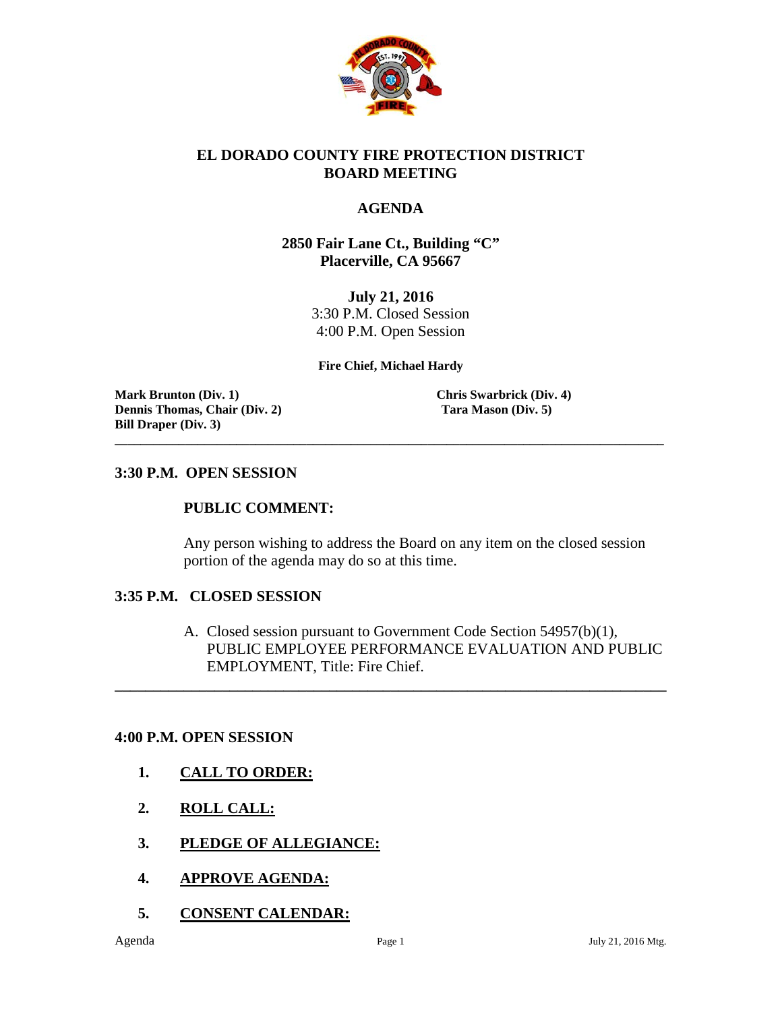

### **EL DORADO COUNTY FIRE PROTECTION DISTRICT BOARD MEETING**

### **AGENDA**

### **2850 Fair Lane Ct., Building "C" Placerville, CA 95667**

**July 21, 2016** 3:30 P.M. Closed Session 4:00 P.M. Open Session

**Fire Chief, Michael Hardy**

**\_\_\_\_\_\_\_\_\_\_\_\_\_\_\_\_\_\_\_\_\_\_\_\_\_\_\_\_\_\_\_\_\_\_\_\_\_\_\_\_\_\_\_\_\_\_\_\_\_\_\_\_\_\_\_\_\_\_\_\_\_\_\_\_\_\_\_\_\_\_\_\_\_\_\_\_\_\_\_\_\_\_\_\_\_\_**

**Mark Brunton** (Div. 1) **Chris Swarbrick (Div. 4) Dennis Thomas, Chair (Div. 2) Tara Mason (Div. 5) Bill Draper (Div. 3)**

#### **3:30 P.M. OPEN SESSION**

#### **PUBLIC COMMENT:**

Any person wishing to address the Board on any item on the closed session portion of the agenda may do so at this time.

#### **3:35 P.M. CLOSED SESSION**

A. Closed session pursuant to Government Code Section 54957(b)(1), PUBLIC EMPLOYEE PERFORMANCE EVALUATION AND PUBLIC EMPLOYMENT, Title: Fire Chief.

**\_\_\_\_\_\_\_\_\_\_\_\_\_\_\_\_\_\_\_\_\_\_\_\_\_\_\_\_\_\_\_\_\_\_\_\_\_\_\_\_\_\_\_\_\_\_\_\_\_\_\_\_\_\_\_\_\_\_\_\_\_\_\_\_\_\_\_\_\_\_\_\_**

#### **4:00 P.M. OPEN SESSION**

- **1. CALL TO ORDER:**
- **2. ROLL CALL:**
- **3. PLEDGE OF ALLEGIANCE:**
- **4. APPROVE AGENDA:**
- **5. CONSENT CALENDAR:**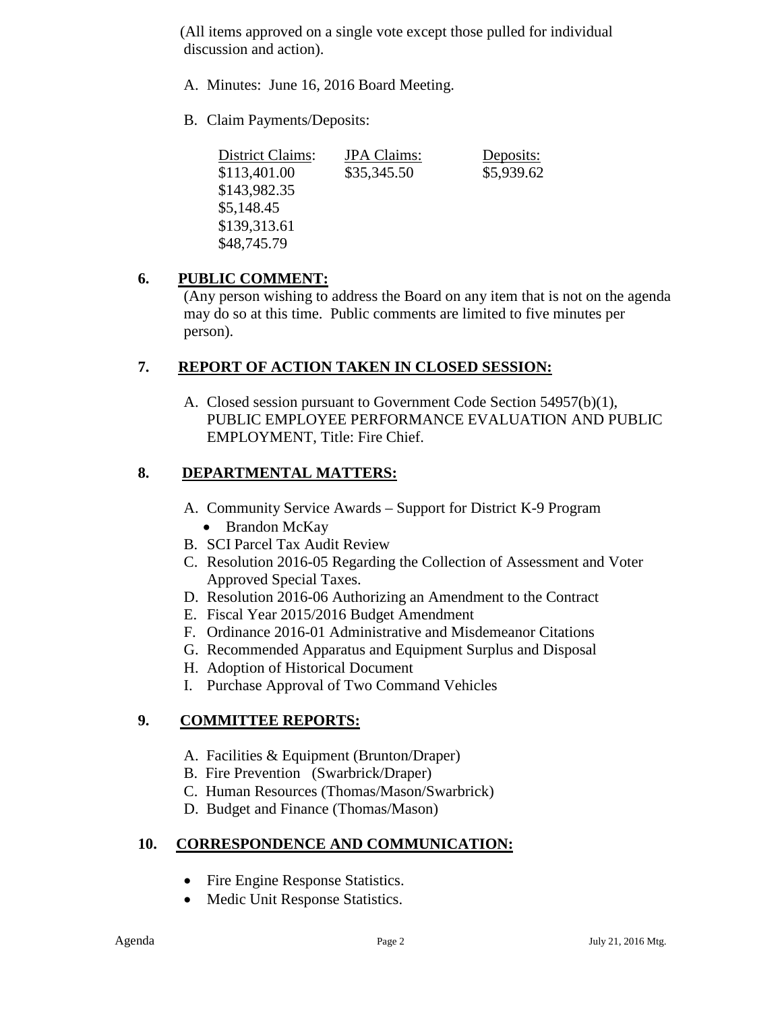(All items approved on a single vote except those pulled for individual discussion and action).

- A. Minutes: June 16, 2016 Board Meeting.
- B. Claim Payments/Deposits:

| District Claims: | <b>JPA</b> Claims: | Deposits:  |
|------------------|--------------------|------------|
| \$113,401.00     | \$35,345.50        | \$5,939.62 |
| \$143,982.35     |                    |            |
| \$5,148.45       |                    |            |
| \$139,313.61     |                    |            |
| \$48,745.79      |                    |            |

# **6. PUBLIC COMMENT:**

(Any person wishing to address the Board on any item that is not on the agenda may do so at this time. Public comments are limited to five minutes per person).

# **7. REPORT OF ACTION TAKEN IN CLOSED SESSION:**

A. Closed session pursuant to Government Code Section 54957(b)(1), PUBLIC EMPLOYEE PERFORMANCE EVALUATION AND PUBLIC EMPLOYMENT, Title: Fire Chief.

# **8. DEPARTMENTAL MATTERS:**

- A. Community Service Awards Support for District K-9 Program
	- Brandon McKay
- B. SCI Parcel Tax Audit Review
- C. Resolution 2016-05 Regarding the Collection of Assessment and Voter Approved Special Taxes.
- D. Resolution 2016-06 Authorizing an Amendment to the Contract
- E. Fiscal Year 2015/2016 Budget Amendment
- F. Ordinance 2016-01 Administrative and Misdemeanor Citations
- G. Recommended Apparatus and Equipment Surplus and Disposal
- H. Adoption of Historical Document
- I. Purchase Approval of Two Command Vehicles

# **9. COMMITTEE REPORTS:**

- A. Facilities & Equipment (Brunton/Draper)
- B. Fire Prevention (Swarbrick/Draper)
- C. Human Resources (Thomas/Mason/Swarbrick)
- D. Budget and Finance (Thomas/Mason)

# **10. CORRESPONDENCE AND COMMUNICATION:**

- Fire Engine Response Statistics.
- Medic Unit Response Statistics.